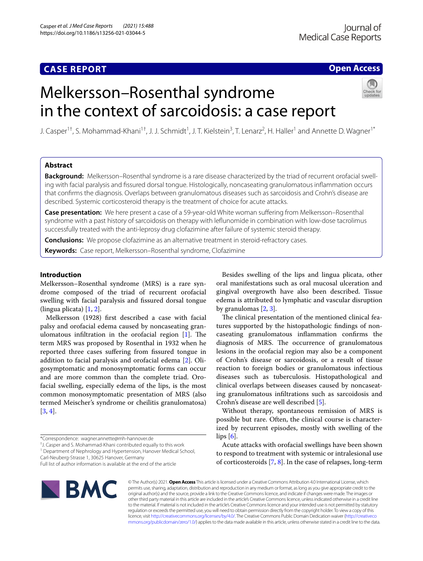# **CASE REPORT**

## **Open Access**

# Melkersson–Rosenthal syndrome in the context of sarcoidosis: a case report



J. Casper<sup>1†</sup>, S. Mohammad-Khani<sup>1†</sup>, J. J. Schmidt<sup>1</sup>, J. T. Kielstein<sup>3</sup>, T. Lenarz<sup>2</sup>, H. Haller<sup>1</sup> and Annette D. Wagner<sup>1\*</sup>

## **Abstract**

**Background:** Melkersson–Rosenthal syndrome is a rare disease characterized by the triad of recurrent orofacial swelling with facial paralysis and fssured dorsal tongue. Histologically, noncaseating granulomatous infammation occurs that confrms the diagnosis. Overlaps between granulomatous diseases such as sarcoidosis and Crohn's disease are described. Systemic corticosteroid therapy is the treatment of choice for acute attacks.

**Case presentation:** We here present a case of a 59-year-old White woman sufering from Melkersson–Rosenthal syndrome with a past history of sarcoidosis on therapy with lefunomide in combination with low-dose tacrolimus successfully treated with the anti-leprosy drug clofazimine after failure of systemic steroid therapy.

**Conclusions:** We propose clofazimine as an alternative treatment in steroid-refractory cases.

**Keywords:** Case report, Melkersson–Rosenthal syndrome, Clofazimine

## **Introduction**

Melkersson–Rosenthal syndrome (MRS) is a rare syndrome composed of the triad of recurrent orofacial swelling with facial paralysis and fssured dorsal tongue (lingua plicata) [\[1](#page-5-0), [2\]](#page-5-1).

Melkersson (1928) frst described a case with facial palsy and orofacial edema caused by noncaseating granulomatous infiltration in the orofacial region  $[1]$  $[1]$ . The term MRS was proposed by Rosenthal in 1932 when he reported three cases suffering from fissured tongue in addition to facial paralysis and orofacial edema [\[2](#page-5-1)]. Oligosymptomatic and monosymptomatic forms can occur and are more common than the complete triad. Orofacial swelling, especially edema of the lips, is the most common monosymptomatic presentation of MRS (also termed Meischer's syndrome or cheilitis granulomatosa) [[3,](#page-5-2) [4](#page-5-3)].

† J. Casper and S. Mohammad-Khani contributed equally to this work

<sup>1</sup> Department of Nephrology and Hypertension, Hanover Medical School, Carl‑Neuberg‑Strasse 1, 30625 Hanover, Germany

Besides swelling of the lips and lingua plicata, other oral manifestations such as oral mucosal ulceration and gingival overgrowth have also been described. Tissue edema is attributed to lymphatic and vascular disruption by granulomas [\[2](#page-5-1), [3\]](#page-5-2).

The clinical presentation of the mentioned clinical features supported by the histopathologic fndings of noncaseating granulomatous infammation confrms the diagnosis of MRS. The occurrence of granulomatous lesions in the orofacial region may also be a component of Crohn's disease or sarcoidosis, or a result of tissue reaction to foreign bodies or granulomatous infectious diseases such as tuberculosis. Histopathological and clinical overlaps between diseases caused by noncaseating granulomatous infltrations such as sarcoidosis and Crohn's disease are well described [[5\]](#page-5-4).

Without therapy, spontaneous remission of MRS is possible but rare. Often, the clinical course is characterized by recurrent episodes, mostly with swelling of the lips [[6](#page-5-5)].

Acute attacks with orofacial swellings have been shown to respond to treatment with systemic or intralesional use of corticosteroids [\[7](#page-5-6), [8\]](#page-5-7). In the case of relapses, long-term



© The Author(s) 2021. **Open Access** This article is licensed under a Creative Commons Attribution 4.0 International License, which permits use, sharing, adaptation, distribution and reproduction in any medium or format, as long as you give appropriate credit to the original author(s) and the source, provide a link to the Creative Commons licence, and indicate if changes were made. The images or other third party material in this article are included in the article's Creative Commons licence, unless indicated otherwise in a credit line to the material. If material is not included in the article's Creative Commons licence and your intended use is not permitted by statutory regulation or exceeds the permitted use, you will need to obtain permission directly from the copyright holder. To view a copy of this licence, visit [http://creativecommons.org/licenses/by/4.0/.](http://creativecommons.org/licenses/by/4.0/) The Creative Commons Public Domain Dedication waiver ([http://creativeco](http://creativecommons.org/publicdomain/zero/1.0/) [mmons.org/publicdomain/zero/1.0/](http://creativecommons.org/publicdomain/zero/1.0/)) applies to the data made available in this article, unless otherwise stated in a credit line to the data.

<sup>\*</sup>Correspondence: wagner.annette@mh-hannover.de

Full list of author information is available at the end of the article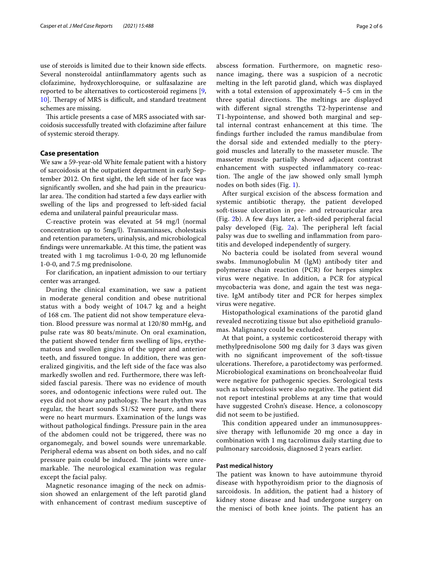use of steroids is limited due to their known side efects. Several nonsteroidal antiinfammatory agents such as clofazimine, hydroxychloroquine, or sulfasalazine are reported to be alternatives to corticosteroid regimens [\[9](#page-5-8), [10\]](#page-5-9). Therapy of MRS is difficult, and standard treatment schemes are missing.

This article presents a case of MRS associated with sarcoidosis successfully treated with clofazimine after failure of systemic steroid therapy.

## **Case presentation**

We saw a 59-year-old White female patient with a history of sarcoidosis at the outpatient department in early September 2012. On frst sight, the left side of her face was signifcantly swollen, and she had pain in the preauricular area. The condition had started a few days earlier with swelling of the lips and progressed to left-sided facial edema and unilateral painful preauricular mass.

C-reactive protein was elevated at 54 mg/l (normal concentration up to 5mg/l). Transaminases, cholestasis and retention parameters, urinalysis, and microbiological fndings were unremarkable. At this time, the patient was treated with 1 mg tacrolimus 1-0-0, 20 mg lefunomide 1-0-0, and 7.5 mg prednisolone.

For clarifcation, an inpatient admission to our tertiary center was arranged.

During the clinical examination, we saw a patient in moderate general condition and obese nutritional status with a body weight of 104.7 kg and a height of 168 cm. The patient did not show temperature elevation. Blood pressure was normal at 120/80 mmHg, and pulse rate was 80 beats/minute. On oral examination, the patient showed tender frm swelling of lips, erythematous and swollen gingiva of the upper and anterior teeth, and fssured tongue. In addition, there was generalized gingivitis, and the left side of the face was also markedly swollen and red. Furthermore, there was leftsided fascial paresis. There was no evidence of mouth sores, and odontogenic infections were ruled out. The eyes did not show any pathology. The heart rhythm was regular, the heart sounds S1/S2 were pure, and there were no heart murmurs. Examination of the lungs was without pathological fndings. Pressure pain in the area of the abdomen could not be triggered, there was no organomegaly, and bowel sounds were unremarkable. Peripheral edema was absent on both sides, and no calf pressure pain could be induced. The joints were unremarkable. The neurological examination was regular except the facial palsy.

Magnetic resonance imaging of the neck on admission showed an enlargement of the left parotid gland with enhancement of contrast medium susceptive of abscess formation. Furthermore, on magnetic resonance imaging, there was a suspicion of a necrotic melting in the left parotid gland, which was displayed with a total extension of approximately 4–5 cm in the three spatial directions. The meltings are displayed with diferent signal strengths T2-hyperintense and T1-hypointense, and showed both marginal and septal internal contrast enhancement at this time. The fndings further included the ramus mandibulae from the dorsal side and extended medially to the pterygoid muscles and laterally to the masseter muscle. The masseter muscle partially showed adjacent contrast enhancement with suspected infammatory co-reaction. The angle of the jaw showed only small lymph nodes on both sides (Fig. [1\)](#page-2-0).

After surgical excision of the abscess formation and systemic antibiotic therapy, the patient developed soft-tissue ulceration in pre- and retroauricular area (Fig. [2b](#page-3-0)). A few days later, a left-sided peripheral facial palsy developed (Fig.  $2a$  $2a$ ). The peripheral left facial palsy was due to swelling and infammation from parotitis and developed independently of surgery.

No bacteria could be isolated from several wound swabs. Immunoglobulin M (IgM) antibody titer and polymerase chain reaction (PCR) for herpes simplex virus were negative. In addition, a PCR for atypical mycobacteria was done, and again the test was negative. IgM antibody titer and PCR for herpes simplex virus were negative.

Histopathological examinations of the parotid gland revealed necrotizing tissue but also epithelioid granulomas. Malignancy could be excluded.

At that point, a systemic corticosteroid therapy with methylprednisolone 500 mg daily for 3 days was given with no signifcant improvement of the soft-tissue ulcerations. Therefore, a parotidectomy was performed. Microbiological examinations on bronchoalveolar fuid were negative for pathogenic species. Serological tests such as tuberculosis were also negative. The patient did not report intestinal problems at any time that would have suggested Crohn's disease. Hence, a colonoscopy did not seem to be justifed.

This condition appeared under an immunosuppressive therapy with lefunomide 20 mg once a day in combination with 1 mg tacrolimus daily starting due to pulmonary sarcoidosis, diagnosed 2 years earlier.

### **Past medical history**

The patient was known to have autoimmune thyroid disease with hypothyroidism prior to the diagnosis of sarcoidosis. In addition, the patient had a history of kidney stone disease and had undergone surgery on the menisci of both knee joints. The patient has an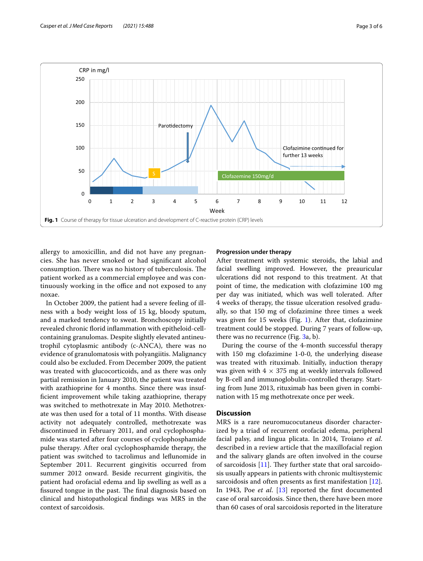

<span id="page-2-0"></span>allergy to amoxicillin, and did not have any pregnancies. She has never smoked or had signifcant alcohol consumption. There was no history of tuberculosis. The patient worked as a commercial employee and was continuously working in the office and not exposed to any noxae.

In October 2009, the patient had a severe feeling of illness with a body weight loss of 15 kg, bloody sputum, and a marked tendency to sweat. Bronchoscopy initially revealed chronic forid infammation with epitheloid-cellcontaining granulomas. Despite slightly elevated antineutrophil cytoplasmic antibody (c-ANCA), there was no evidence of granulomatosis with polyangiitis. Malignancy could also be excluded. From December 2009, the patient was treated with glucocorticoids, and as there was only partial remission in January 2010, the patient was treated with azathioprine for 4 months. Since there was insuffcient improvement while taking azathioprine, therapy was switched to methotrexate in May 2010. Methotrexate was then used for a total of 11 months. With disease activity not adequately controlled, methotrexate was discontinued in February 2011, and oral cyclophosphamide was started after four courses of cyclophosphamide pulse therapy. After oral cyclophosphamide therapy, the patient was switched to tacrolimus and lefunomide in September 2011. Recurrent gingivitis occurred from summer 2012 onward. Beside recurrent gingivitis, the patient had orofacial edema and lip swelling as well as a fissured tongue in the past. The final diagnosis based on clinical and histopathological fndings was MRS in the context of sarcoidosis.

#### **Progression under therapy**

After treatment with systemic steroids, the labial and facial swelling improved. However, the preauricular ulcerations did not respond to this treatment. At that point of time, the medication with clofazimine 100 mg per day was initiated, which was well tolerated. After 4 weeks of therapy, the tissue ulceration resolved gradually, so that 150 mg of clofazimine three times a week was given for 15 weeks (Fig. [1](#page-2-0)). After that, clofazimine treatment could be stopped. During 7 years of follow-up, there was no recurrence (Fig. [3a](#page-3-1), b).

During the course of the 4-month successful therapy with 150 mg clofazimine 1-0-0, the underlying disease was treated with rituximab. Initially, induction therapy was given with  $4 \times 375$  mg at weekly intervals followed by B-cell and immunoglobulin-controlled therapy. Starting from June 2013, rituximab has been given in combination with 15 mg methotrexate once per week.

## **Discussion**

MRS is a rare neuromucocutaneus disorder characterized by a triad of recurrent orofacial edema, peripheral facial palsy, and lingua plicata. In 2014, Troiano *et al*. described in a review article that the maxillofacial region and the salivary glands are often involved in the course of sarcoidosis  $[11]$  $[11]$ . They further state that oral sarcoidosis usually appears in patients with chronic multisystemic sarcoidosis and often presents as first manifestation [\[12](#page-5-11)]. In 1943, Poe *et al*. [\[13](#page-5-12)] reported the frst documented case of oral sarcoidosis. Since then, there have been more than 60 cases of oral sarcoidosis reported in the literature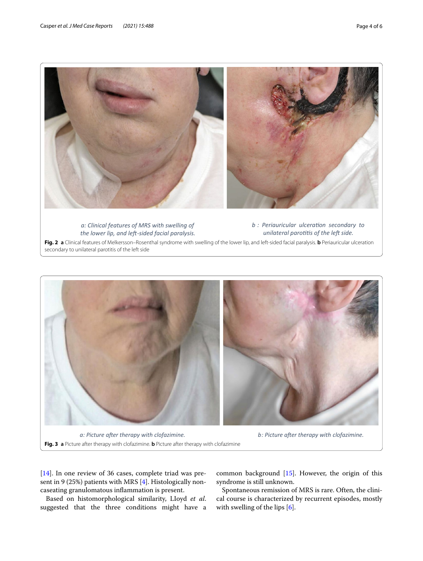

*a: Clinical features of MRS with swelling of* the lower lip, and left-sided facial paralysis.

*b* : Periauricular ulceration secondary to *unilateral parotitis of the left side.* 

<span id="page-3-0"></span>**Fig. 2 a** Clinical features of Melkersson–Rosenthal syndrome with swelling of the lower lip, and left-sided facial paralysis. **b** Periauricular ulceration secondary to unilateral parotitis of the left side



**Fig. 3 a** Picture after therapy with clofazimine. **b** Picture after therapy with clofazimine

<span id="page-3-1"></span>[[14\]](#page-5-13). In one review of 36 cases, complete triad was present in 9 (25%) patients with MRS [[4\]](#page-5-3). Histologically noncaseating granulomatous infammation is present.

Based on histomorphological similarity, LIoyd *et al*. suggested that the three conditions might have a

common background [[15\]](#page-5-14). However, the origin of this syndrome is still unknown.

Spontaneous remission of MRS is rare. Often, the clinical course is characterized by recurrent episodes, mostly with swelling of the lips [\[6](#page-5-5)].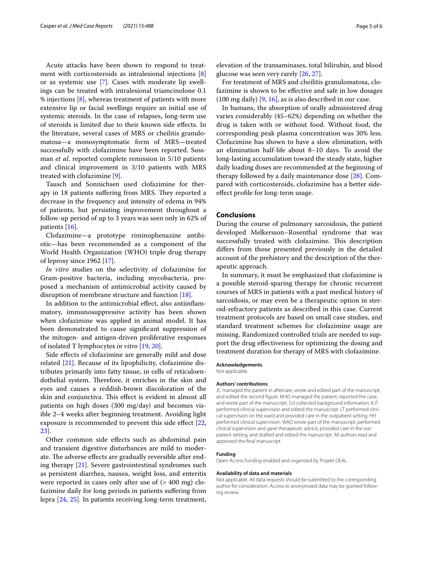Acute attacks have been shown to respond to treatment with corticosteroids as intralesional injections [\[8](#page-5-7)] or as systemic use [\[7](#page-5-6)]. Cases with moderate lip swellings can be treated with intralesional triamcinolone 0.1 % injections [\[8](#page-5-7)], whereas treatment of patients with more extensive lip or facial swellings require an initial use of systemic steroids. In the case of relapses, long-term use of steroids is limited due to their known side efects. In the literature, several cases of MRS or cheilitis granulomatosa—a monosymptomatic form of MRS—treated successfully with clofazimine have been reported. Sussman *et al*. reported complete remission in 5/10 patients and clinical improvement in 3/10 patients with MRS treated with clofazimine [\[9](#page-5-8)].

Tausch and Sonnichsen used clofazimine for therapy in 18 patients suffering from MRS. They reported a decrease in the frequency and intensity of edema in 94% of patients, but persisting improvement throughout a follow-up period of up to 3 years was seen only in 62% of patients [[16\]](#page-5-15).

Clofazimine—a prototype riminophenazine antibiotic—has been recommended as a component of the World Health Organization (WHO) triple drug therapy of leprosy since 1962 [\[17](#page-5-16)].

*In vitro* studies on the selectivity of clofazimine for Gram-positive bacteria, including mycobacteria, proposed a mechanism of antimicrobial activity caused by disruption of membrane structure and function [\[18\]](#page-5-17).

In addition to the antimicrobial efect, also antiinfammatory, immunosuppressive activity has been shown when clofazimine was applied in animal model. It has been demonstrated to cause signifcant suppression of the mitogen- and antigen-driven proliferative responses of isolated T lymphocytes *in vitro* [\[19](#page-5-18), [20](#page-5-19)].

Side efects of clofazimine are generally mild and dose related [\[21](#page-5-20)]. Because of its lipophilicity, clofazimine distributes primarily into fatty tissue, in cells of reticuloendothelial system. Therefore, it enriches in the skin and eyes and causes a reddish-brown discoloration of the skin and conjunctiva. This effect is evident in almost all patients on high doses (300 mg/day) and becomes visible 2–4 weeks after beginning treatment. Avoiding light exposure is recommended to prevent this side efect [\[22](#page-5-21), [23\]](#page-5-22).

Other common side efects such as abdominal pain and transient digestive disturbances are mild to moderate. The adverse effects are gradually reversible after ending therapy [[21](#page-5-20)]. Severe gastrointestinal syndromes such as persistent diarrhea, nausea, weight loss, and enteritis were reported in cases only after use of (> 400 mg) clofazimine daily for long periods in patients sufering from lepra [\[24](#page-5-23), [25](#page-5-24)]. In patients receiving long-term treatment, elevation of the transaminases, total bilirubin, and blood glucose was seen very rarely [[26](#page-5-25), [27\]](#page-5-26).

For treatment of MRS and cheilitis granulomatosa, clofazimine is shown to be efective and safe in low dosages (100 mg daily) [\[9](#page-5-8), [16\]](#page-5-15), as is also described in our case.

In humans, the absorption of orally administered drug varies considerably (45–62%) depending on whether the drug is taken with or without food. Without food, the corresponding peak plasma concentration was 30% less. Clofazimine has shown to have a slow elimination, with an elimination half-life about 8–10 days. To avoid the long-lasting accumulation toward the steady state, higher daily loading doses are recommended at the beginning of therapy followed by a daily maintenance dose [\[28\]](#page-5-27). Compared with corticosteroids, clofazimine has a better sideefect profle for long-term usage.

## **Conclusions**

During the course of pulmonary sarcoidosis, the patient developed Melkersson–Rosenthal syndrome that was successfully treated with clofazimine. This description difers from those presented previously in the detailed account of the prehistory and the description of the therapeutic approach.

In summary, it must be emphasized that clofazimine is a possible steroid-sparing therapy for chronic recurrent courses of MRS in patients with a past medical history of sarcoidosis, or may even be a therapeutic option in steroid-refractory patients as described in this case. Current treatment protocols are based on small case studies, and standard treatment schemes for clofazimine usage are missing. Randomized controlled trials are needed to support the drug efectiveness for optimizing the dosing and treatment duration for therapy of MRS with clofazimine.

## **Acknowledgements**

Not applicable.

#### **Authors' contributions**

JC managed the patient in aftercare, wrote and edited part of the manuscript, and edited the second fgure. M-KS managed the patient, reported the case, and wrote part of the manuscript. SJJ collected background information. KJT performed clinical supervision and edited the manuscript. LT performed clinical supervision on the ward and provided care in the outpatient setting. HH performed clinical supervision. WAD wrote part of the manuscript, performed clinical supervision and gave therapeutic advice, provided care in the outpatient setting, and drafted and edited the manuscript. All authors read and approved the fnal manuscript.

#### **Funding**

Open Access funding enabled and organized by Projekt DEAL.

#### **Availability of data and materials**

Not applicable. All data requests should be submitted to the corresponding author for consideration. Access to anonymized data may be granted following review.